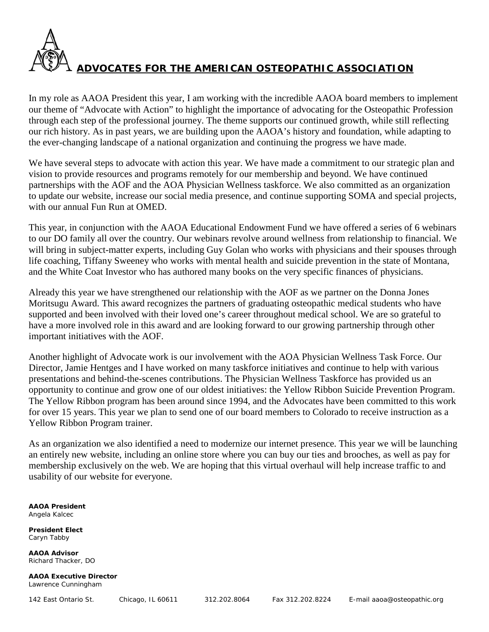

In my role as AAOA President this year, I am working with the incredible AAOA board members to implement our theme of "Advocate with Action" to highlight the importance of advocating for the Osteopathic Profession through each step of the professional journey. The theme supports our continued growth, while still reflecting our rich history. As in past years, we are building upon the AAOA's history and foundation, while adapting to the ever-changing landscape of a national organization and continuing the progress we have made.

We have several steps to advocate with action this year. We have made a commitment to our strategic plan and vision to provide resources and programs remotely for our membership and beyond. We have continued partnerships with the AOF and the AOA Physician Wellness taskforce. We also committed as an organization to update our website, increase our social media presence, and continue supporting SOMA and special projects, with our annual Fun Run at OMED.

This year, in conjunction with the AAOA Educational Endowment Fund we have offered a series of 6 webinars to our DO family all over the country. Our webinars revolve around wellness from relationship to financial. We will bring in subject-matter experts, including Guy Golan who works with physicians and their spouses through life coaching, Tiffany Sweeney who works with mental health and suicide prevention in the state of Montana, and the White Coat Investor who has authored many books on the very specific finances of physicians.

Already this year we have strengthened our relationship with the AOF as we partner on the Donna Jones Moritsugu Award. This award recognizes the partners of graduating osteopathic medical students who have supported and been involved with their loved one's career throughout medical school. We are so grateful to have a more involved role in this award and are looking forward to our growing partnership through other important initiatives with the AOF.

Another highlight of Advocate work is our involvement with the AOA Physician Wellness Task Force. Our Director, Jamie Hentges and I have worked on many taskforce initiatives and continue to help with various presentations and behind-the-scenes contributions. The Physician Wellness Taskforce has provided us an opportunity to continue and grow one of our oldest initiatives: the Yellow Ribbon Suicide Prevention Program. The Yellow Ribbon program has been around since 1994, and the Advocates have been committed to this work for over 15 years. This year we plan to send one of our board members to Colorado to receive instruction as a Yellow Ribbon Program trainer.

As an organization we also identified a need to modernize our internet presence. This year we will be launching an entirely new website, including an online store where you can buy our ties and brooches, as well as pay for membership exclusively on the web. We are hoping that this virtual overhaul will help increase traffic to and usability of our website for everyone.

**AAOA President** Angela Kalcec

**President Elect** Caryn Tabby

**AAOA Advisor** Richard Thacker, DO

**AAOA Executive Director** Lawrence Cunningham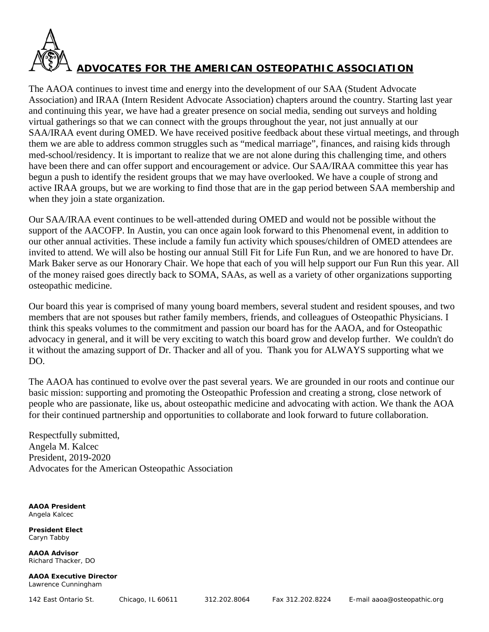

The AAOA continues to invest time and energy into the development of our SAA (Student Advocate Association) and IRAA (Intern Resident Advocate Association) chapters around the country. Starting last year and continuing this year, we have had a greater presence on social media, sending out surveys and holding virtual gatherings so that we can connect with the groups throughout the year, not just annually at our SAA/IRAA event during OMED. We have received positive feedback about these virtual meetings, and through them we are able to address common struggles such as "medical marriage", finances, and raising kids through med-school/residency. It is important to realize that we are not alone during this challenging time, and others have been there and can offer support and encouragement or advice. Our SAA/IRAA committee this year has begun a push to identify the resident groups that we may have overlooked. We have a couple of strong and active IRAA groups, but we are working to find those that are in the gap period between SAA membership and when they join a state organization.

Our SAA/IRAA event continues to be well-attended during OMED and would not be possible without the support of the AACOFP. In Austin, you can once again look forward to this Phenomenal event, in addition to our other annual activities. These include a family fun activity which spouses/children of OMED attendees are invited to attend. We will also be hosting our annual Still Fit for Life Fun Run, and we are honored to have Dr. Mark Baker serve as our Honorary Chair. We hope that each of you will help support our Fun Run this year. All of the money raised goes directly back to SOMA, SAAs, as well as a variety of other organizations supporting osteopathic medicine.

Our board this year is comprised of many young board members, several student and resident spouses, and two members that are not spouses but rather family members, friends, and colleagues of Osteopathic Physicians. I think this speaks volumes to the commitment and passion our board has for the AAOA, and for Osteopathic advocacy in general, and it will be very exciting to watch this board grow and develop further. We couldn't do it without the amazing support of Dr. Thacker and all of you. Thank you for ALWAYS supporting what we DO.

The AAOA has continued to evolve over the past several years. We are grounded in our roots and continue our basic mission: supporting and promoting the Osteopathic Profession and creating a strong, close network of people who are passionate, like us, about osteopathic medicine and advocating with action. We thank the AOA for their continued partnership and opportunities to collaborate and look forward to future collaboration.

Respectfully submitted, Angela M. Kalcec President, 2019-2020 Advocates for the American Osteopathic Association

**AAOA President** Angela Kalcec

**President Elect** Caryn Tabby

**AAOA Advisor** Richard Thacker, DO

**AAOA Executive Director** Lawrence Cunningham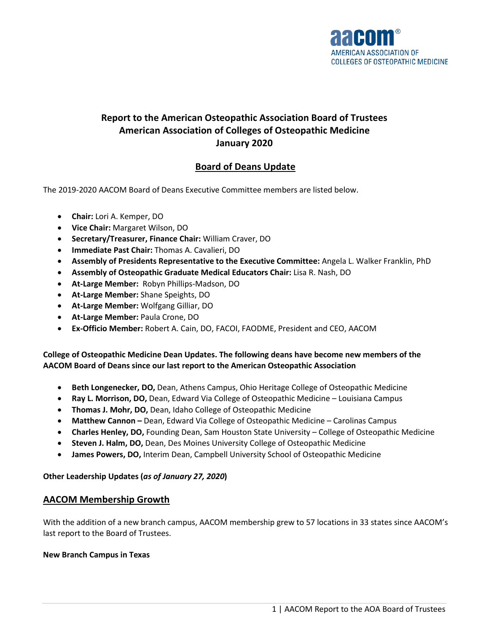

# **Report to the American Osteopathic Association Board of Trustees American Association of Colleges of Osteopathic Medicine January 2020**

# **Board of Deans Update**

The 2019-2020 AACOM Board of Deans Executive Committee members are listed below.

- **Chair:** Lori A. Kemper, DO
- **Vice Chair:** Margaret Wilson, DO
- **Secretary/Treasurer, Finance Chair:** William Craver, DO
- **Immediate Past Chair:** Thomas A. Cavalieri, DO
- **Assembly of Presidents Representative to the Executive Committee:** Angela L. Walker Franklin, PhD
- **Assembly of Osteopathic Graduate Medical Educators Chair:** Lisa R. Nash, DO
- **At-Large Member:** Robyn Phillips-Madson, DO
- **At-Large Member:** Shane Speights, DO
- **At-Large Member:** Wolfgang Gilliar, DO
- **At-Large Member:** Paula Crone, DO
- **Ex-Officio Member:** Robert A. Cain, DO, FACOI, FAODME, President and CEO, AACOM

### **College of Osteopathic Medicine Dean Updates. The following deans have become new members of the AACOM Board of Deans since our last report to the American Osteopathic Association**

- **Beth Longenecker, DO,** Dean, Athens Campus, Ohio Heritage College of Osteopathic Medicine
- **Ray L. Morrison, DO,** Dean, Edward Via College of Osteopathic Medicine Louisiana Campus
- **Thomas J. Mohr, DO,** Dean, Idaho College of Osteopathic Medicine
- **Matthew Cannon –** Dean, Edward Via College of Osteopathic Medicine Carolinas Campus
- **Charles Henley, DO,** Founding Dean, Sam Houston State University College of Osteopathic Medicine
- **Steven J. Halm, DO,** Dean, Des Moines University College of Osteopathic Medicine
- **James Powers, DO,** Interim Dean, Campbell University School of Osteopathic Medicine

### **Other Leadership Updates (***as of January 27, 2020***)**

### **AACOM Membership Growth**

With the addition of a new branch campus, AACOM membership grew to 57 locations in 33 states since AACOM's last report to the Board of Trustees.

### **New Branch Campus in Texas**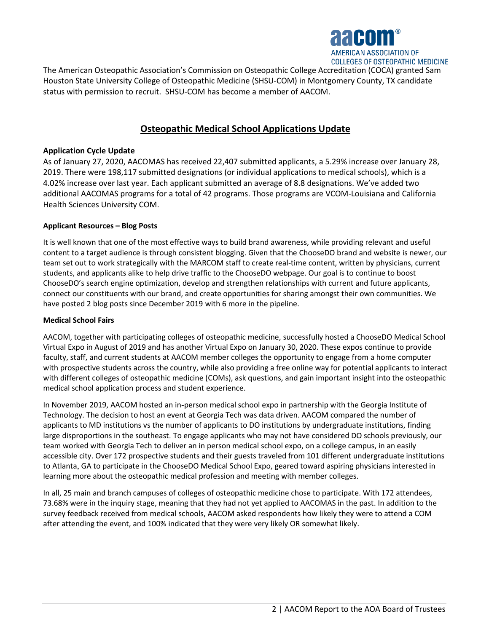

The American Osteopathic Association's Commission on Osteopathic College Accreditation (COCA) granted Sam Houston State University College of Osteopathic Medicine (SHSU-COM) in Montgomery County, TX candidate status with permission to recruit. SHSU-COM has become a member of AACOM.

### **Osteopathic Medical School Applications Update**

### **Application Cycle Update**

As of January 27, 2020, AACOMAS has received 22,407 submitted applicants, a 5.29% increase over January 28, 2019. There were 198,117 submitted designations (or individual applications to medical schools), which is a 4.02% increase over last year. Each applicant submitted an average of 8.8 designations. We've added two additional AACOMAS programs for a total of 42 programs. Those programs are VCOM-Louisiana and California Health Sciences University COM.

### **Applicant Resources – Blog Posts**

It is well known that one of the most effective ways to build brand awareness, while providing relevant and useful content to a target audience is through consistent blogging. Given that the ChooseDO brand and website is newer, our team set out to work strategically with the MARCOM staff to create real-time content, written by physicians, current students, and applicants alike to help drive traffic to the ChooseDO webpage. Our goal is to continue to boost ChooseDO's search engine optimization, develop and strengthen relationships with current and future applicants, connect our constituents with our brand, and create opportunities for sharing amongst their own communities. We have posted 2 blog posts since December 2019 with 6 more in the pipeline.

#### **Medical School Fairs**

AACOM, together with participating colleges of osteopathic medicine, successfully hosted a ChooseDO Medical School Virtual Expo in August of 2019 and has another Virtual Expo on January 30, 2020. These expos continue to provide faculty, staff, and current students at AACOM member colleges the opportunity to engage from a home computer with prospective students across the country, while also providing a free online way for potential applicants to interact with different colleges of osteopathic medicine (COMs), ask questions, and gain important insight into the osteopathic medical school application process and student experience.

In November 2019, AACOM hosted an in-person medical school expo in partnership with the Georgia Institute of Technology. The decision to host an event at Georgia Tech was data driven. AACOM compared the number of applicants to MD institutions vs the number of applicants to DO institutions by undergraduate institutions, finding large disproportions in the southeast. To engage applicants who may not have considered DO schools previously, our team worked with Georgia Tech to deliver an in person medical school expo, on a college campus, in an easily accessible city. Over 172 prospective students and their guests traveled from 101 different undergraduate institutions to Atlanta, GA to participate in the ChooseDO Medical School Expo, geared toward aspiring physicians interested in learning more about the osteopathic medical profession and meeting with member colleges.

In all, 25 main and branch campuses of colleges of osteopathic medicine chose to participate. With 172 attendees, 73.68% were in the inquiry stage, meaning that they had not yet applied to AACOMAS in the past. In addition to the survey feedback received from medical schools, AACOM asked respondents how likely they were to attend a COM after attending the event, and 100% indicated that they were very likely OR somewhat likely.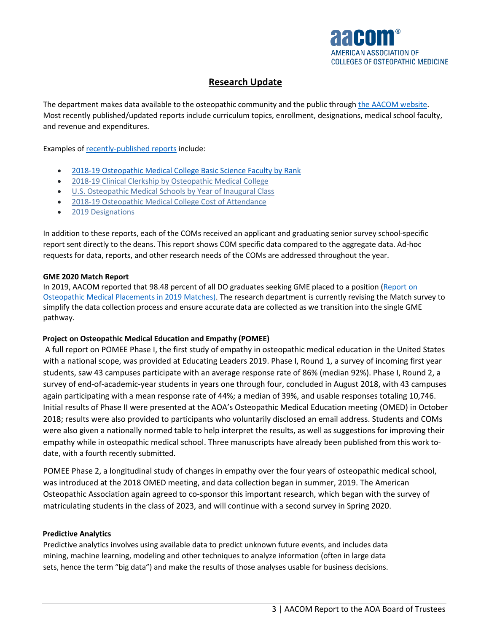

## **Research Update**

The department makes data available to the osteopathic community and the public throug[h the AACOM website.](http://www.aacom.org/reports-programs-initiatives/aacom-reports.) Most recently published/updated reports include curriculum topics, enrollment, designations, medical school faculty, and revenue and expenditures.

Examples of [recently-published reports](https://www.aacom.org/reports-programs-initiatives/aacom-reports) include:

- [2018-19 Osteopathic Medical College Basic Science Faculty by Rank](https://www.aacom.org/docs/default-source/data-and-trends/2018-19-osteopathic-medical-college-basic-science-faculty-by-rank.xlsx?sfvrsn=1d30e97_4)
- [2018-19 Clinical Clerkship by Osteopathic Medical College](https://www.aacom.org/docs/default-source/data-and-trends/2018-19-clinical-clerkship-by-osteopathic-medical-college.xlsx?sfvrsn=5f140e97_6)
- [U.S. Osteopathic Medical Schools by Year of Inaugural Class](https://www.aacom.org/docs/default-source/data-and-trends/u-s-osteopathic-medical-schools-by-year-of-inaugural-class.pdf?sfvrsn=dc9e2997_8)
- [2018-19 Osteopathic Medical College Cost of Attendance](https://www.aacom.org/docs/default-source/data-and-trends/2018-19-osteopathic-medical-college-cost-of-attendance.pdf?sfvrsn=2e63097_8)
- [2019 Designations](https://www.aacom.org/docs/default-source/data-and-trends/2019-designations76675c43514d6e069d49ff00008852d2.xlsx?sfvrsn=992a3297_4)

In addition to these reports, each of the COMs received an applicant and graduating senior survey school-specific report sent directly to the deans. This report shows COM specific data compared to the aggregate data. Ad-hoc requests for data, reports, and other research needs of the COMs are addressed throughout the year.

### **GME 2020 Match Report**

In 2019, AACOM reported that 98.48 percent of all DO graduates seeking GME placed to a position [\(Report on](https://www.aacom.org/docs/default-source/data-and-trends/report-on-osteopathic-medical-school-graduate-placements-in-2019-matches.pdf?sfvrsn=3cd93c97_2)  [Osteopathic Medical Placements in 2019 Matches\)](https://www.aacom.org/docs/default-source/data-and-trends/report-on-osteopathic-medical-school-graduate-placements-in-2019-matches.pdf?sfvrsn=3cd93c97_2). The research department is currently revising the Match survey to simplify the data collection process and ensure accurate data are collected as we transition into the single GME pathway.

### **Project on Osteopathic Medical Education and Empathy (POMEE)**

A full report on POMEE Phase I, the first study of empathy in osteopathic medical education in the United States with a national scope, was provided at Educating Leaders 2019. Phase I, Round 1, a survey of incoming first year students, saw 43 campuses participate with an average response rate of 86% (median 92%). Phase I, Round 2, a survey of end-of-academic-year students in years one through four, concluded in August 2018, with 43 campuses again participating with a mean response rate of 44%; a median of 39%, and usable responses totaling 10,746. Initial results of Phase II were presented at the AOA's Osteopathic Medical Education meeting (OMED) in October 2018; results were also provided to participants who voluntarily disclosed an email address. Students and COMs were also given a nationally normed table to help interpret the results, as well as suggestions for improving their empathy while in osteopathic medical school. Three manuscripts have already been published from this work todate, with a fourth recently submitted.

POMEE Phase 2, a longitudinal study of changes in empathy over the four years of osteopathic medical school, was introduced at the 2018 OMED meeting, and data collection began in summer, 2019. The American Osteopathic Association again agreed to co-sponsor this important research, which began with the survey of matriculating students in the class of 2023, and will continue with a second survey in Spring 2020.

### **Predictive Analytics**

Predictive analytics involves using available data to predict unknown future events, and includes data mining, machine learning, modeling and other techniques to analyze information (often in large data sets, hence the term "big data") and make the results of those analyses usable for business decisions.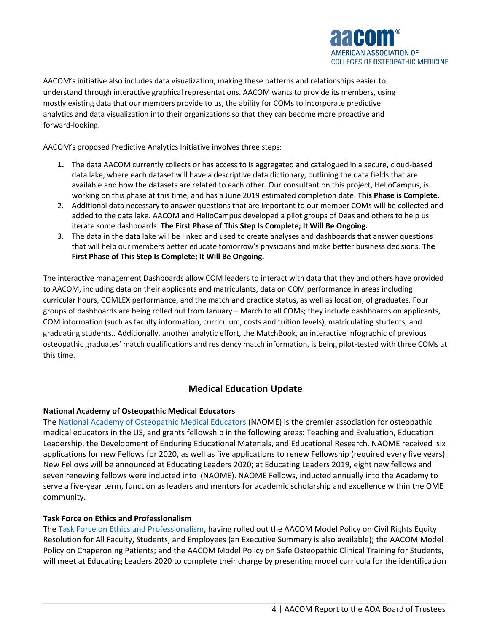

AACOM's initiative also includes data visualization, making these patterns and relationships easier to understand through interactive graphical representations. AACOM wants to provide its members, using mostly existing data that our members provide to us, the ability for COMs to incorporate predictive analytics and data visualization into their organizations so that they can become more proactive and forward-looking.

AACOM's proposed Predictive Analytics Initiative involves three steps:

- **1.** The data AACOM currently collects or has access to is aggregated and catalogued in a secure, cloud-based data lake, where each dataset will have a descriptive data dictionary, outlining the data fields that are available and how the datasets are related to each other. Our consultant on this project, HelioCampus, is working on this phase at this time, and has a June 2019 estimated completion date. **This Phase is Complete.**
- 2. Additional data necessary to answer questions that are important to our member COMs will be collected and added to the data lake. AACOM and HelioCampus developed a pilot groups of Deas and others to help us iterate some dashboards. **The First Phase of This Step Is Complete; It Will Be Ongoing.**
- 3. The data in the data lake will be linked and used to create analyses and dashboards that answer questions that will help our members better educate tomorrow's physicians and make better business decisions. **The First Phase of This Step Is Complete; It Will Be Ongoing.**

The interactive management Dashboards allow COM leaders to interact with data that they and others have provided to AACOM, including data on their applicants and matriculants, data on COM performance in areas including curricular hours, COMLEX performance, and the match and practice status, as well as location, of graduates. Four groups of dashboards are being rolled out from January – March to all COMs; they include dashboards on applicants, COM information (such as faculty information, curriculum, costs and tuition levels), matriculating students, and graduating students.. Additionally, another analytic effort, the MatchBook, an interactive infographic of previous osteopathic graduates' match qualifications and residency match information, is being pilot-tested with three COMs at this time.

### **Medical Education Update**

### **National Academy of Osteopathic Medical Educators**

The [National Academy of Osteopathic Medical Educators](https://www.aacom.org/ome/councils/naome/fellows) (NAOME) is the premier association for osteopathic medical educators in the US, and grants fellowship in the following areas: Teaching and Evaluation, Education Leadership, the Development of Enduring Educational Materials, and Educational Research. NAOME received six applications for new Fellows for 2020, as well as five applications to renew Fellowship (required every five years). New Fellows will be announced at Educating Leaders 2020; at Educating Leaders 2019, eight new fellows and seven renewing fellows were inducted into (NAOME). NAOME Fellows, inducted annually into the Academy to serve a five-year term, function as leaders and mentors for academic scholarship and excellence within the OME community.

### **Task Force on Ethics and Professionalism**

The [Task Force on Ethics and Professionalism,](https://www.aacom.org/reports-programs-initiatives/aacom-initiatives/task-force-on-ethics-and-professionalism) having rolled out the AACOM Model Policy on Civil Rights Equity Resolution for All Faculty, Students, and Employees (an Executive Summary is also available); the AACOM Model Policy on Chaperoning Patients; and the AACOM Model Policy on Safe Osteopathic Clinical Training for Students, will meet at Educating Leaders 2020 to complete their charge by presenting model curricula for the identification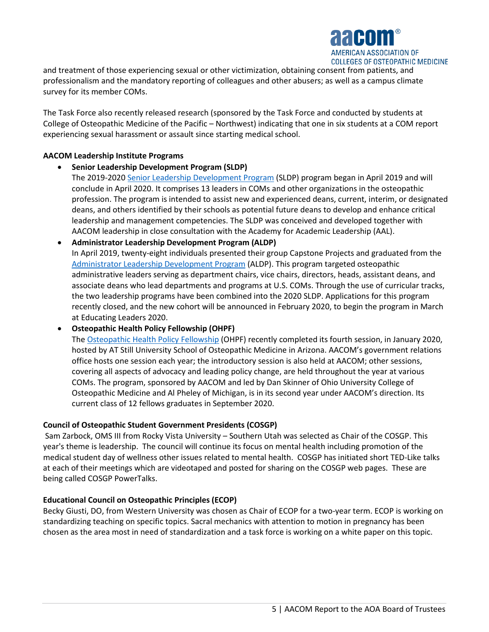

and treatment of those experiencing sexual or other victimization, obtaining consent from patients, and professionalism and the mandatory reporting of colleagues and other abusers; as well as a campus climate survey for its member COMs.

The Task Force also recently released research (sponsored by the Task Force and conducted by students at College of Osteopathic Medicine of the Pacific – Northwest) indicating that one in six students at a COM report experiencing sexual harassment or assault since starting medical school.

### **AACOM Leadership Institute Programs**

- **Senior Leadership Development Program (SLDP)** 
	- The 2019-202[0 Senior Leadership Development Program](https://www.aacom.org/institute/senior-leadership-development-program) (SLDP) program began in April 2019 and will conclude in April 2020. It comprises 13 leaders in COMs and other organizations in the osteopathic profession. The program is intended to assist new and experienced deans, current, interim, or designated deans, and others identified by their schools as potential future deans to develop and enhance critical leadership and management competencies. The SLDP was conceived and developed together with AACOM leadership in close consultation with the Academy for Academic Leadership (AAL).
- **Administrator Leadership Development Program (ALDP)**  In April 2019, twenty-eight individuals presented their group Capstone Projects and graduated from the [Administrator Leadership Development Program](https://www.aacom.org/institute/administrator-leadership-development-program) (ALDP). This program targeted osteopathic administrative leaders serving as department chairs, vice chairs, directors, heads, assistant deans, and associate deans who lead departments and programs at U.S. COMs. Through the use of curricular tracks, the two leadership programs have been combined into the 2020 SLDP. Applications for this program recently closed, and the new cohort will be announced in February 2020, to begin the program in March at Educating Leaders 2020.

• **Osteopathic Health Policy Fellowship (OHPF)**

The [Osteopathic Health Policy Fellowship](https://www.aacom.org/institute/health-policy-fellowship) (OHPF) recently completed its fourth session, in January 2020, hosted by AT Still University School of Osteopathic Medicine in Arizona. AACOM's government relations office hosts one session each year; the introductory session is also held at AACOM; other sessions, covering all aspects of advocacy and leading policy change, are held throughout the year at various COMs. The program, sponsored by AACOM and led by Dan Skinner of Ohio University College of Osteopathic Medicine and Al Pheley of Michigan, is in its second year under AACOM's direction. Its current class of 12 fellows graduates in September 2020.

#### **Council of Osteopathic Student Government Presidents (COSGP)**

Sam Zarbock, OMS III from Rocky Vista University – Southern Utah was selected as Chair of the COSGP. This year's theme is leadership. The council will continue its focus on mental health including promotion of the medical student day of wellness other issues related to mental health. COSGP has initiated short TED-Like talks at each of their meetings which are videotaped and posted for sharing on the COSGP web pages. These are being called COSGP PowerTalks.

#### **Educational Council on Osteopathic Principles (ECOP)**

Becky Giusti, DO, from Western University was chosen as Chair of ECOP for a two-year term. ECOP is working on standardizing teaching on specific topics. Sacral mechanics with attention to motion in pregnancy has been chosen as the area most in need of standardization and a task force is working on a white paper on this topic.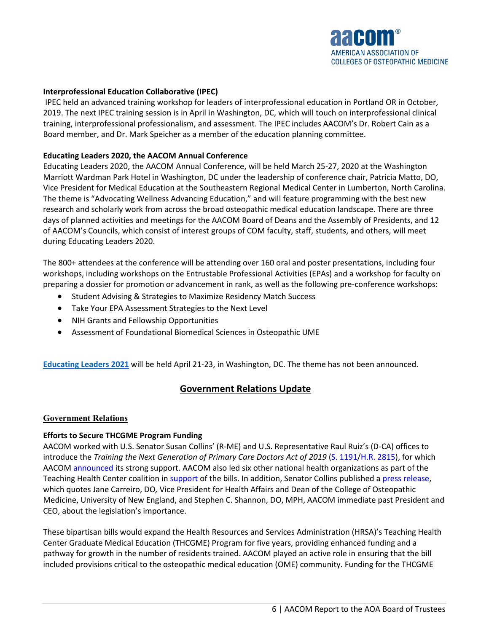

#### **Interprofessional Education Collaborative (IPEC)**

IPEC held an advanced training workshop for leaders of interprofessional education in Portland OR in October, 2019. The next IPEC training session is in April in Washington, DC, which will touch on interprofessional clinical training, interprofessional professionalism, and assessment. The IPEC includes AACOM's Dr. Robert Cain as a Board member, and Dr. Mark Speicher as a member of the education planning committee.

#### **Educating Leaders 2020, the AACOM Annual Conference**

Educating Leaders 2020, the AACOM Annual Conference, will be held March 25-27, 2020 at the Washington Marriott Wardman Park Hotel in Washington, DC under the leadership of conference chair, Patricia Matto, DO, Vice President for Medical Education at the Southeastern Regional Medical Center in Lumberton, North Carolina. The theme is "Advocating Wellness Advancing Education," and will feature programming with the best new research and scholarly work from across the broad osteopathic medical education landscape. There are three days of planned activities and meetings for the AACOM Board of Deans and the Assembly of Presidents, and 12 of AACOM's Councils, which consist of interest groups of COM faculty, staff, students, and others, will meet during Educating Leaders 2020.

The 800+ attendees at the conference will be attending over 160 oral and poster presentations, including four workshops, including workshops on the Entrustable Professional Activities (EPAs) and a workshop for faculty on preparing a dossier for promotion or advancement in rank, as well as the following pre-conference workshops:

- Student Advising & Strategies to Maximize Residency Match Success
- Take Your EPA Assessment Strategies to the Next Level
- NIH Grants and Fellowship Opportunities
- Assessment of Foundational Biomedical Sciences in Osteopathic UME

**[Educating Leaders 2021](https://www.aacom.org/news-and-events/2020-educating-leaders/home)** will be held April 21-23, in Washington, DC. The theme has not been announced.

### **Government Relations Update**

### **Government Relations**

### **Efforts to Secure THCGME Program Funding**

AACOM worked with U.S. Senator Susan Collins' (R-ME) and U.S. Representative Raul Ruiz's (D-CA) offices to introduce the *Training the Next Generation of Primary Care Doctors Act of 2019* (S. 1191/H.R. 2815), for which AACOM announced its strong support. AACOM also led six other national health organizations as part of the Teaching Health Center coalition in support of the bills. In addition, Senator Collins published a press release, which quotes Jane Carreiro, DO*,* Vice President for Health Affairs and Dean of the College of Osteopathic Medicine, University of New England, and Stephen C. Shannon, DO, MPH, AACOM immediate past President and CEO, about the legislation's importance.

These bipartisan bills would expand the Health Resources and Services Administration (HRSA)'s Teaching Health Center Graduate Medical Education (THCGME) Program for five years, providing enhanced funding and a pathway for growth in the number of residents trained. AACOM played an active role in ensuring that the bill included provisions critical to the osteopathic medical education (OME) community. Funding for the THCGME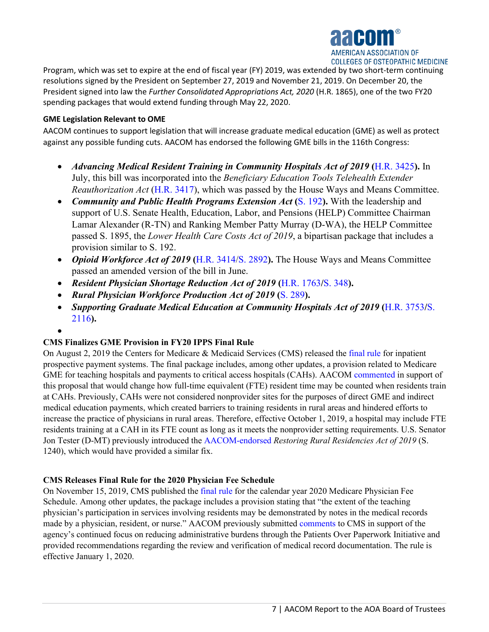

Program, which was set to expire at the end of fiscal year (FY) 2019, was extended by two short-term continuing resolutions signed by the President on September 27, 2019 and November 21, 2019. On December 20, the President signed into law the *Further Consolidated Appropriations Act, 2020* (H.R. 1865), one of the two FY20 spending packages that would extend funding through May 22, 2020.

### **GME Legislation Relevant to OME**

AACOM continues to support legislation that will increase graduate medical education (GME) as well as protect against any possible funding cuts. AACOM has endorsed the following GME bills in the 116th Congress:

- *Advancing Medical Resident Training in Community Hospitals Act of 2019* **(**H.R. 3425**).** In July, this bill was incorporated into the *Beneficiary Education Tools Telehealth Extender Reauthorization Act* (H.R. 3417), which was passed by the House Ways and Means Committee.
- *Community and Public Health Programs Extension Act* (S. 192). With the leadership and support of U.S. Senate Health, Education, Labor, and Pensions (HELP) Committee Chairman Lamar Alexander (R-TN) and Ranking Member Patty Murray (D-WA), the HELP Committee passed S. 1895, the *Lower Health Care Costs Act of 2019*, a bipartisan package that includes a provision similar to S. 192.
- *Opioid Workforce Act of 2019* **(**H.R. 3414/S. 2892**).** The House Ways and Means Committee passed an amended version of the bill in June.
- *Resident Physician Shortage Reduction Act of 2019* (H.R. 1763/S. 348).
- *Rural Physician Workforce Production Act of 2019* **(**S. 289**).**
- *Supporting Graduate Medical Education at Community Hospitals Act of 2019* (H.R. 3753/S. 2116**).**
- •

### **CMS Finalizes GME Provision in FY20 IPPS Final Rule**

On August 2, 2019 the Centers for Medicare & Medicaid Services (CMS) released the final rule for inpatient prospective payment systems. The final package includes, among other updates, a provision related to Medicare GME for teaching hospitals and payments to critical access hospitals (CAHs). AACOM commented in support of this proposal that would change how full-time equivalent (FTE) resident time may be counted when residents train at CAHs. Previously, CAHs were not considered nonprovider sites for the purposes of direct GME and indirect medical education payments, which created barriers to training residents in rural areas and hindered efforts to increase the practice of physicians in rural areas. Therefore, effective October 1, 2019, a hospital may include FTE residents training at a CAH in its FTE count as long as it meets the nonprovider setting requirements. U.S. Senator Jon Tester (D-MT) previously introduced the AACOM-endorsed *Restoring Rural Residencies Act of 2019* (S. 1240), which would have provided a similar fix.

### **CMS Releases Final Rule for the 2020 Physician Fee Schedule**

On November 15, 2019, CMS published the final rule for the calendar year 2020 Medicare Physician Fee Schedule. Among other updates, the package includes a provision stating that "the extent of the teaching physician's participation in services involving residents may be demonstrated by notes in the medical records made by a physician, resident, or nurse." AACOM previously submitted comments to CMS in support of the agency's continued focus on reducing administrative burdens through the Patients Over Paperwork Initiative and provided recommendations regarding the review and verification of medical record documentation. The rule is effective January 1, 2020.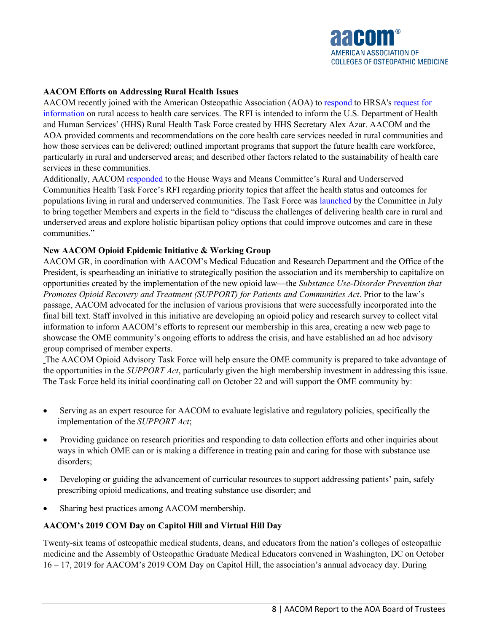

### **AACOM Efforts on Addressing Rural Health Issues**

AACOM recently joined with the American Osteopathic Association (AOA) to respond to HRSA's request for information on rural access to health care services. The RFI is intended to inform the U.S. Department of Health and Human Services' (HHS) Rural Health Task Force created by HHS Secretary Alex Azar. AACOM and the AOA provided comments and recommendations on the core health care services needed in rural communities and how those services can be delivered; outlined important programs that support the future health care workforce, particularly in rural and underserved areas; and described other factors related to the sustainability of health care services in these communities.

Additionally, AACOM responded to the House Ways and Means Committee's Rural and Underserved Communities Health Task Force's RFI regarding priority topics that affect the health status and outcomes for populations living in rural and underserved communities. The Task Force was launched by the Committee in July to bring together Members and experts in the field to "discuss the challenges of delivering health care in rural and underserved areas and explore holistic bipartisan policy options that could improve outcomes and care in these communities."

### **New AACOM Opioid Epidemic Initiative & Working Group**

AACOM GR, in coordination with AACOM's Medical Education and Research Department and the Office of the President, is spearheading an initiative to strategically position the association and its membership to capitalize on opportunities created by the implementation of the new opioid law—the *Substance Use-Disorder Prevention that Promotes Opioid Recovery and Treatment (SUPPORT) for Patients and Communities Act*. Prior to the law's passage, AACOM advocated for the inclusion of various provisions that were successfully incorporated into the final bill text. Staff involved in this initiative are developing an opioid policy and research survey to collect vital information to inform AACOM's efforts to represent our membership in this area, creating a new web page to showcase the OME community's ongoing efforts to address the crisis, and have established an ad hoc advisory group comprised of member experts.

The AACOM Opioid Advisory Task Force will help ensure the OME community is prepared to take advantage of the opportunities in the *SUPPORT Act*, particularly given the high membership investment in addressing this issue. The Task Force held its initial coordinating call on October 22 and will support the OME community by:

- Serving as an expert resource for AACOM to evaluate legislative and regulatory policies, specifically the implementation of the *SUPPORT Act*;
- Providing guidance on research priorities and responding to data collection efforts and other inquiries about ways in which OME can or is making a difference in treating pain and caring for those with substance use disorders;
- Developing or guiding the advancement of curricular resources to support addressing patients' pain, safely prescribing opioid medications, and treating substance use disorder; and
- Sharing best practices among AACOM membership.

### **AACOM's 2019 COM Day on Capitol Hill and Virtual Hill Day**

Twenty-six teams of osteopathic medical students, deans, and educators from the nation's colleges of osteopathic medicine and the Assembly of Osteopathic Graduate Medical Educators convened in Washington, DC on October 16 – 17, 2019 for AACOM's 2019 COM Day on Capitol Hill, the association's annual advocacy day. During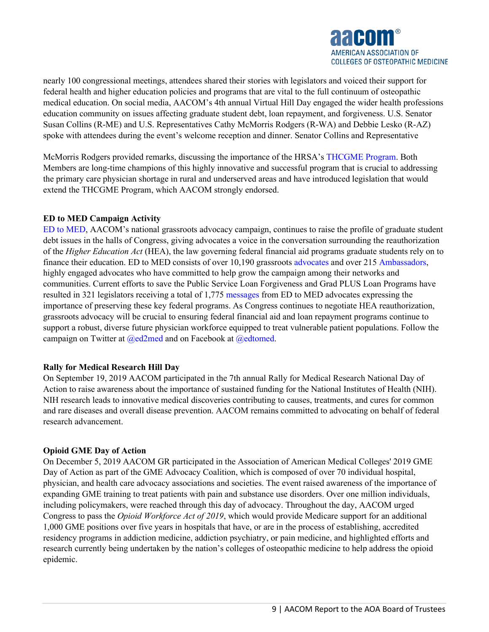

nearly 100 congressional meetings, attendees shared their stories with legislators and voiced their support for federal health and higher education policies and programs that are vital to the full continuum of osteopathic medical education. On social media, AACOM's 4th annual Virtual Hill Day engaged the wider health professions education community on issues affecting graduate student debt, loan repayment, and forgiveness. U.S. Senator Susan Collins (R-ME) and U.S. Representatives Cathy McMorris Rodgers (R-WA) and Debbie Lesko (R-AZ) spoke with attendees during the event's welcome reception and dinner. Senator Collins and Representative

McMorris Rodgers provided remarks, discussing the importance of the HRSA's THCGME Program. Both Members are long-time champions of this highly innovative and successful program that is crucial to addressing the primary care physician shortage in rural and underserved areas and have introduced legislation that would extend the THCGME Program, which AACOM strongly endorsed.

### **ED to MED Campaign Activity**

ED to MED, AACOM's national grassroots advocacy campaign, continues to raise the profile of graduate student debt issues in the halls of Congress, giving advocates a voice in the conversation surrounding the reauthorization of the *Higher Education Act* (HEA), the law governing federal financial aid programs graduate students rely on to finance their education. ED to MED consists of over 10,190 grassroots advocates and over 215 Ambassadors, highly engaged advocates who have committed to help grow the campaign among their networks and communities. Current efforts to save the Public Service Loan Forgiveness and Grad PLUS Loan Programs have resulted in 321 legislators receiving a total of 1,775 messages from ED to MED advocates expressing the importance of preserving these key federal programs. As Congress continues to negotiate HEA reauthorization, grassroots advocacy will be crucial to ensuring federal financial aid and loan repayment programs continue to support a robust, diverse future physician workforce equipped to treat vulnerable patient populations. Follow the campaign on Twitter at  $@ed2med$  and on Facebook at  $@edtomed.$ 

### **Rally for Medical Research Hill Day**

On September 19, 2019 AACOM participated in the 7th annual Rally for Medical Research National Day of Action to raise awareness about the importance of sustained funding for the National Institutes of Health (NIH). NIH research leads to innovative medical discoveries contributing to causes, treatments, and cures for common and rare diseases and overall disease prevention. AACOM remains committed to advocating on behalf of federal research advancement.

### **Opioid GME Day of Action**

On December 5, 2019 AACOM GR participated in the Association of American Medical Colleges' 2019 GME Day of Action as part of the GME Advocacy Coalition, which is composed of over 70 individual hospital, physician, and health care advocacy associations and societies. The event raised awareness of the importance of expanding GME training to treat patients with pain and substance use disorders. Over one million individuals, including policymakers, were reached through this day of advocacy. Throughout the day, AACOM urged Congress to pass the *Opioid Workforce Act of 2019*, which would provide Medicare support for an additional 1,000 GME positions over five years in hospitals that have, or are in the process of establishing, accredited residency programs in addiction medicine, addiction psychiatry, or pain medicine, and highlighted efforts and research currently being undertaken by the nation's colleges of osteopathic medicine to help address the opioid epidemic.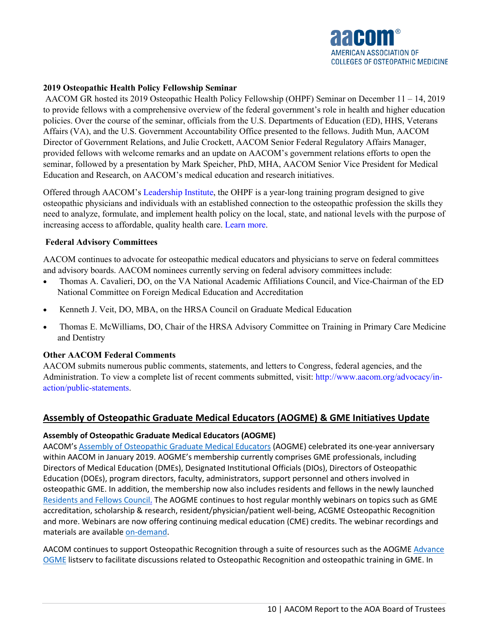

### **2019 Osteopathic Health Policy Fellowship Seminar**

AACOM GR hosted its 2019 Osteopathic Health Policy Fellowship (OHPF) Seminar on December 11 – 14, 2019 to provide fellows with a comprehensive overview of the federal government's role in health and higher education policies. Over the course of the seminar, officials from the U.S. Departments of Education (ED), HHS, Veterans Affairs (VA), and the U.S. Government Accountability Office presented to the fellows. Judith Mun, AACOM Director of Government Relations, and Julie Crockett, AACOM Senior Federal Regulatory Affairs Manager, provided fellows with welcome remarks and an update on AACOM's government relations efforts to open the seminar, followed by a presentation by Mark Speicher, PhD, MHA, AACOM Senior Vice President for Medical Education and Research, on AACOM's medical education and research initiatives.

Offered through AACOM's Leadership Institute, the OHPF is a year-long training program designed to give osteopathic physicians and individuals with an established connection to the osteopathic profession the skills they need to analyze, formulate, and implement health policy on the local, state, and national levels with the purpose of increasing access to affordable, quality health care. Learn more.

### **Federal Advisory Committees**

AACOM continues to advocate for osteopathic medical educators and physicians to serve on federal committees and advisory boards. AACOM nominees currently serving on federal advisory committees include:

- Thomas A. Cavalieri, DO, on the VA National Academic Affiliations Council, and Vice-Chairman of the ED National Committee on Foreign Medical Education and Accreditation
- Kenneth J. Veit, DO, MBA, on the HRSA Council on Graduate Medical Education
- Thomas E. McWilliams, DO, Chair of the HRSA Advisory Committee on Training in Primary Care Medicine and Dentistry

### **Other AACOM Federal Comments**

AACOM submits numerous public comments, statements, and letters to Congress, federal agencies, and the Administration. To view a complete list of recent comments submitted, visit: http://www.aacom.org/advocacy/inaction/public-statements.

### **Assembly of Osteopathic Graduate Medical Educators (AOGME) & GME Initiatives Update**

### **Assembly of Osteopathic Graduate Medical Educators (AOGME)**

AACOM's [Assembly of Osteopathic Graduate Medical Educators](https://www.aacom.org/aogme) (AOGME) celebrated its one-year anniversary within AACOM in January 2019. AOGME's membership currently comprises GME professionals, including Directors of Medical Education (DMEs), Designated Institutional Officials (DIOs), Directors of Osteopathic Education (DOEs), program directors, faculty, administrators, support personnel and others involved in osteopathic GME. In addition, the membership now also includes residents and fellows in the newly launched [Residents and Fellows Council.](https://www.aacom.org/aogme/programs/RFC) The AOGME continues to host regular monthly webinars on topics such as GME accreditation, scholarship & research, resident/physician/patient well-being, ACGME Osteopathic Recognition and more. Webinars are now offering continuing medical education (CME) credits. The webinar recordings and materials are available [on-demand.](https://www.aacom.org/aogme/education/webinar-series)

AACOM continues to support Osteopathic Recognition through a suite of resources such as the AOGME [Advance](https://www.aacom.org/aogme/publications/news-rollup/aogme-news-detail/2018/08/28/Now-Join-OnlineCommunity-Advance-OGME)  [OGME](https://www.aacom.org/aogme/publications/news-rollup/aogme-news-detail/2018/08/28/Now-Join-OnlineCommunity-Advance-OGME) listserv to facilitate discussions related to Osteopathic Recognition and osteopathic training in GME. In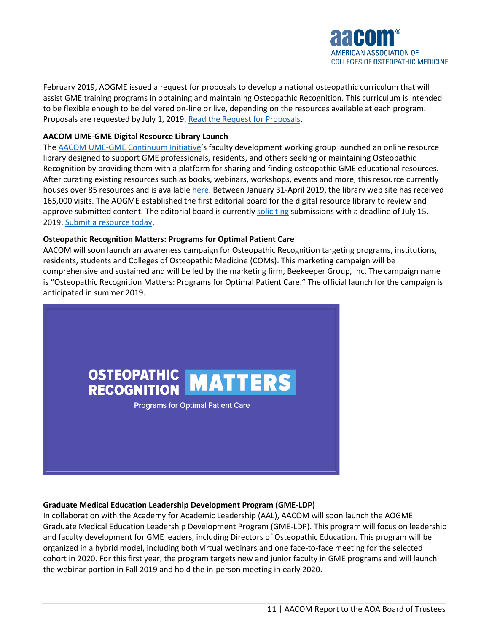

February 2019, AOGME issued a request for proposals to develop a national osteopathic curriculum that will assist GME training programs in obtaining and maintaining Osteopathic Recognition. This curriculum is intended to be flexible enough to be delivered on-line or live, depending on the resources available at each program. Proposals are requested by July 1, 2019. [Read the Request for Proposals.](https://www.aacom.org/docs/default-source/aogme-documents/or-rfa-final.pdf?sfvrsn=81e33f97_4)

#### **AACOM UME-GME Digital Resource Library Launch**

The [AACOM UME-GME Continuum Initiative'](https://www.aacom.org/reports-programs-initiatives/initiatives/ume-gme-continuum)s faculty development working group launched an online resource library designed to support GME professionals, residents, and others seeking or maintaining Osteopathic Recognition by providing them with a platform for sharing and finding osteopathic GME educational resources. After curating existing resources such as books, webinars, workshops, events and more, this resource currently houses over 85 resources and is available [here.](https://www.aacom.org/digital-resource-library/resource-library) Between January 31-April 2019, the library web site has received 165,000 visits. The AOGME established the first editorial board for the digital resource library to review and approve submitted content. The editorial board is currently [soliciting](https://aacom.informz.net/informzdataservice/onlineversion/ind/bWFpbGluZ2luc3RhbmNlaWQ9NzQ4NTYzNiZzdWJzY3JpYmVyaWQ9ODMzNzY0MDgx) submissions with a deadline of July 15, 2019[. Submit a resource today.](https://www.surveygizmo.com/s3/4663622/UME-GME-Digital-Resource-Library)

#### **Osteopathic Recognition Matters: Programs for Optimal Patient Care**

AACOM will soon launch an awareness campaign for Osteopathic Recognition targeting programs, institutions, residents, students and Colleges of Osteopathic Medicine (COMs). This marketing campaign will be comprehensive and sustained and will be led by the marketing firm, Beekeeper Group, Inc. The campaign name is "Osteopathic Recognition Matters: Programs for Optimal Patient Care." The official launch for the campaign is anticipated in summer 2019.



#### **Graduate Medical Education Leadership Development Program (GME-LDP)**

In collaboration with the Academy for Academic Leadership (AAL), AACOM will soon launch the AOGME Graduate Medical Education Leadership Development Program (GME-LDP). This program will focus on leadership and faculty development for GME leaders, including Directors of Osteopathic Education. This program will be organized in a hybrid model, including both virtual webinars and one face-to-face meeting for the selected cohort in 2020. For this first year, the program targets new and junior faculty in GME programs and will launch the webinar portion in Fall 2019 and hold the in-person meeting in early 2020.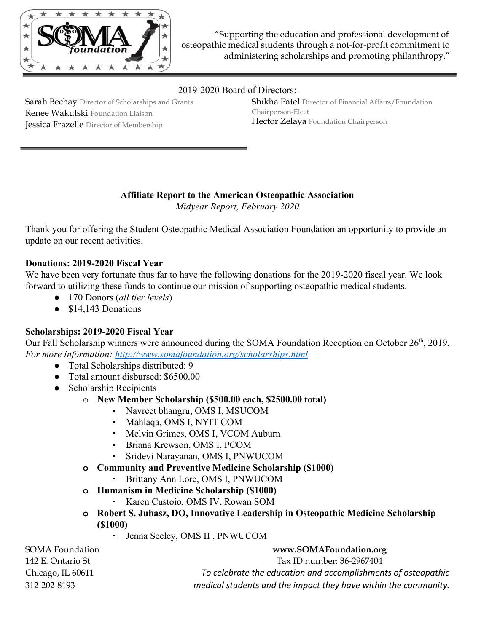

### 2019-2020 Board of Directors:

Sarah Bechay Director of Scholarships and Grants Renee Wakulski Foundation Liaison Jessica Frazelle Director of Membership

Shikha Patel Director of Financial Affairs/Foundation Chairperson-Elect Hector Zelaya Foundation Chairperson

# **Affiliate Report to the American Osteopathic Association**

*Midyear Report, February 2020*

Thank you for offering the Student Osteopathic Medical Association Foundation an opportunity to provide an update on our recent activities.

## **Donations: 2019-2020 Fiscal Year**

We have been very fortunate thus far to have the following donations for the 2019-2020 fiscal year. We look forward to utilizing these funds to continue our mission of supporting osteopathic medical students.

- 170 Donors (*all tier levels*)
- \$14,143 Donations

### **Scholarships: 2019-2020 Fiscal Year**

Our Fall Scholarship winners were announced during the SOMA Foundation Reception on October 26<sup>th</sup>, 2019. *For more information: <http://www.somafoundation.org/scholarships.html>*

- Total Scholarships distributed: 9
- Total amount disbursed: \$6500.00
- Scholarship Recipients
	- o **New Member Scholarship (\$500.00 each, \$2500.00 total)**
		- Navreet bhangru, OMS I, MSUCOM
		- Mahlaqa, OMS I, NYIT COM
		- **Melvin Grimes, OMS I, VCOM Auburn**
		- Briana Krewson, OMS I, PCOM
		- Sridevi Narayanan, OMS I, PNWUCOM
	- **o Community and Preventive Medicine Scholarship (\$1000)**
		- Brittany Ann Lore, OMS I, PNWUCOM
	- **o Humanism in Medicine Scholarship (\$1000)**
		- Karen Custoio, OMS IV, Rowan SOM
	- **o Robert S. Juhasz, DO, Innovative Leadership in Osteopathic Medicine Scholarship (\$1000)**
		- Jenna Seeley, OMS II , PNWUCOM

| SOMA Foundation   | www.SOMAFoundation.org                                          |
|-------------------|-----------------------------------------------------------------|
| 142 E. Ontario St | Tax ID number: 36-2967404                                       |
| Chicago, IL 60611 | To celebrate the education and accomplishments of osteopathic   |
| 312-202-8193      | medical students and the impact they have within the community. |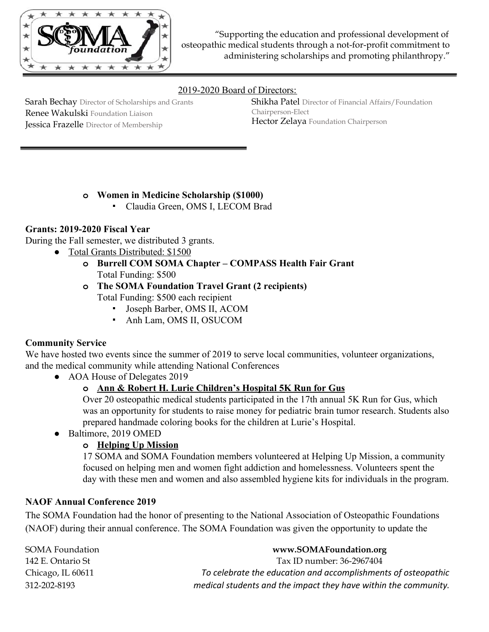

## 2019-2020 Board of Directors:

Sarah Bechay Director of Scholarships and Grants Renee Wakulski Foundation Liaison Jessica Frazelle Director of Membership

Shikha Patel Director of Financial Affairs/Foundation Chairperson-Elect Hector Zelaya Foundation Chairperson

# **o Women in Medicine Scholarship (\$1000)**

▪ Claudia Green, OMS I, LECOM Brad

## **Grants: 2019-2020 Fiscal Year**

During the Fall semester, we distributed 3 grants.

- Total Grants Distributed: \$1500
	- **o Burrell COM SOMA Chapter COMPASS Health Fair Grant** Total Funding: \$500
	- **o The SOMA Foundation Travel Grant (2 recipients)** Total Funding: \$500 each recipient
		- Joseph Barber, OMS II, ACOM
		- Anh Lam, OMS II, OSUCOM

### **Community Service**

We have hosted two events since the summer of 2019 to serve local communities, volunteer organizations, and the medical community while attending National Conferences

• AOA House of Delegates 2019

# **o Ann & Robert H. Lurie Children's Hospital 5K Run for Gus**

Over 20 osteopathic medical students participated in the 17th annual 5K Run for Gus, which was an opportunity for students to raise money for pediatric brain tumor research. Students also prepared handmade coloring books for the children at Lurie's Hospital.

● Baltimore, 2019 OMED

# **o Helping Up Mission**

17 SOMA and SOMA Foundation members volunteered at Helping Up Mission, a community focused on helping men and women fight addiction and homelessness. Volunteers spent the day with these men and women and also assembled hygiene kits for individuals in the program.

### **NAOF Annual Conference 2019**

The SOMA Foundation had the honor of presenting to the National Association of Osteopathic Foundations (NAOF) during their annual conference. The SOMA Foundation was given the opportunity to update the

| SOMA Foundation   | www.SOMAFoundation.org                                          |
|-------------------|-----------------------------------------------------------------|
| 142 E. Ontario St | Tax ID number: 36-2967404                                       |
| Chicago, IL 60611 | To celebrate the education and accomplishments of osteopathic   |
| 312-202-8193      | medical students and the impact they have within the community. |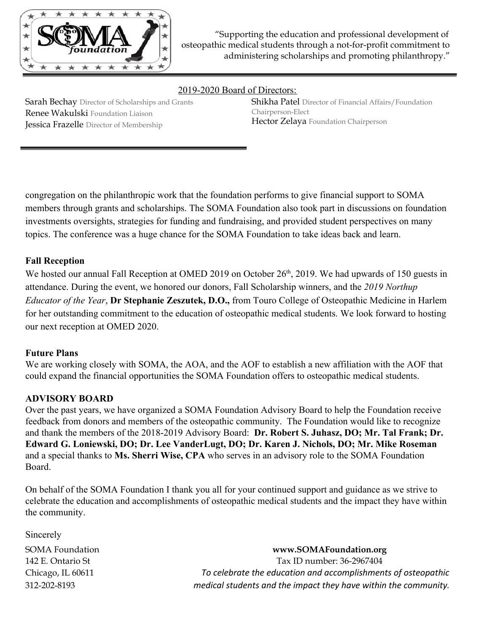

2019-2020 Board of Directors:

Sarah Bechay Director of Scholarships and Grants Renee Wakulski Foundation Liaison Jessica Frazelle Director of Membership

Shikha Patel Director of Financial Affairs/Foundation Chairperson-Elect Hector Zelaya Foundation Chairperson

congregation on the philanthropic work that the foundation performs to give financial support to SOMA members through grants and scholarships. The SOMA Foundation also took part in discussions on foundation investments oversights, strategies for funding and fundraising, and provided student perspectives on many topics. The conference was a huge chance for the SOMA Foundation to take ideas back and learn.

# **Fall Reception**

We hosted our annual Fall Reception at OMED 2019 on October 26<sup>th</sup>, 2019. We had upwards of 150 guests in attendance. During the event, we honored our donors, Fall Scholarship winners, and the *2019 Northup Educator of the Year*, **Dr Stephanie Zeszutek, D.O.,** from Touro College of Osteopathic Medicine in Harlem for her outstanding commitment to the education of osteopathic medical students. We look forward to hosting our next reception at OMED 2020.

### **Future Plans**

We are working closely with SOMA, the AOA, and the AOF to establish a new affiliation with the AOF that could expand the financial opportunities the SOMA Foundation offers to osteopathic medical students.

### **ADVISORY BOARD**

Over the past years, we have organized a SOMA Foundation Advisory Board to help the Foundation receive feedback from donors and members of the osteopathic community. The Foundation would like to recognize and thank the members of the 2018-2019 Advisory Board: **Dr. Robert S. Juhasz, DO; Mr. Tal Frank; Dr. Edward G. Loniewski, DO; Dr. Lee VanderLugt, DO; Dr. Karen J. Nichols, DO; Mr. Mike Roseman** and a special thanks to **Ms. Sherri Wise, CPA** who serves in an advisory role to the SOMA Foundation Board.

On behalf of the SOMA Foundation I thank you all for your continued support and guidance as we strive to celebrate the education and accomplishments of osteopathic medical students and the impact they have within the community.

Sincerely

SOMA Foundation **www.SOMAFoundation.org** 142 E. Ontario St Tax ID number: 36-2967404 Chicago, IL 60611 *To celebrate the education and accomplishments of osteopathic* 312-202-8193 *medical students and the impact they have within the community.*